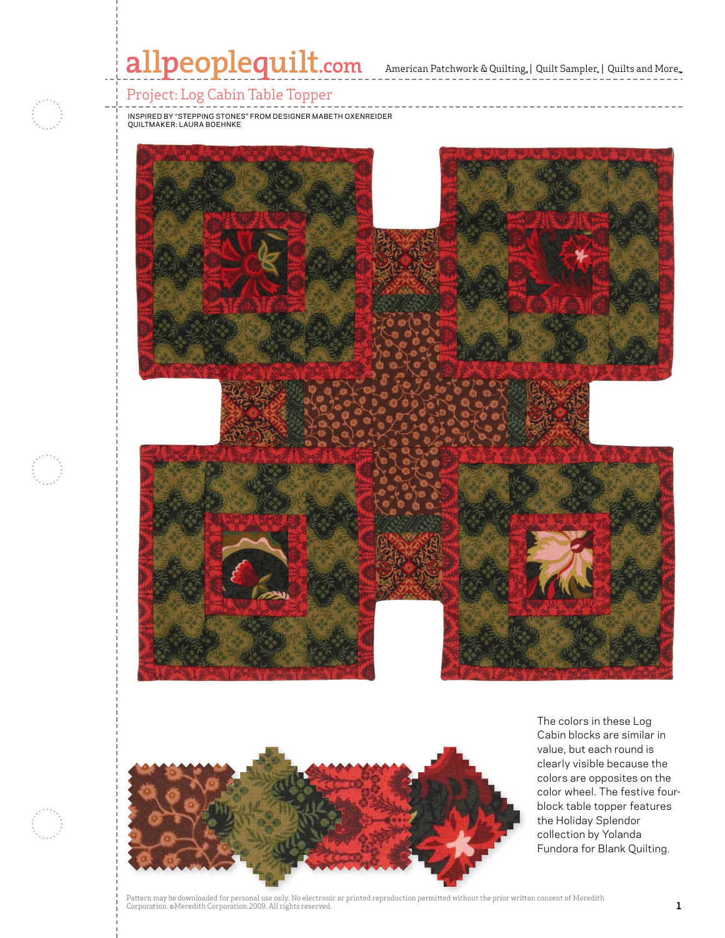



The colors in these Log Cabin blocks are similar in value, but each round is clearly visible because the colors are opposites on the color wheel. The festive fourblock table topper features the Holiday Splendor collection by Yolanda Fundora for Blank Quilting.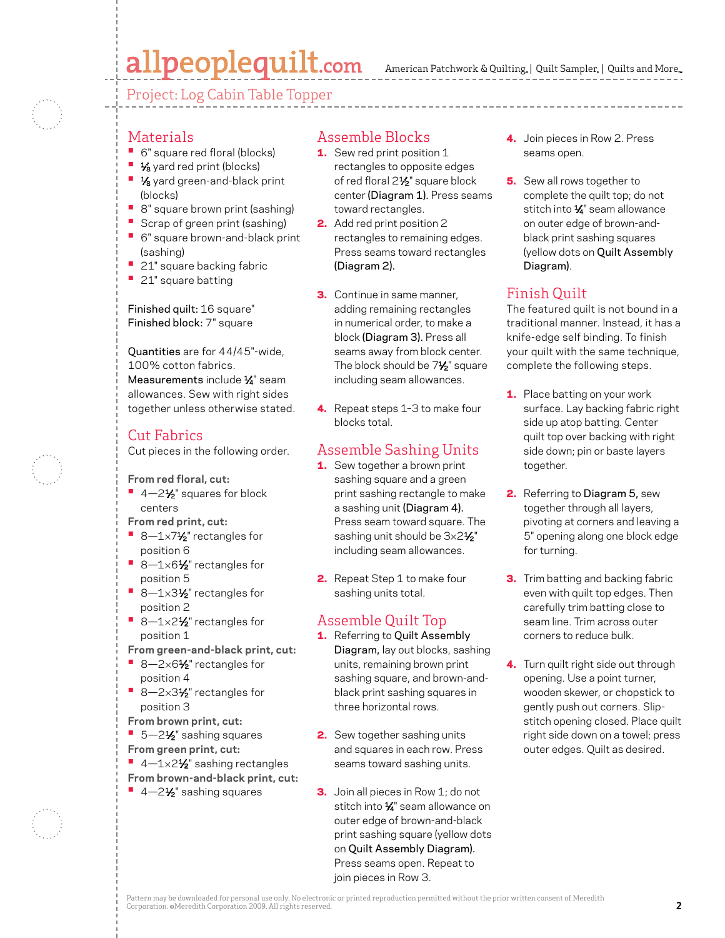# allpeoplequilt.com

American Patchwork & Quilting, | Quilt Sampler, | Quilts and More...

Project: Log Cabin Table Topper

#### Materials

- **•**  6" square red floral (blocks)
- <sup>1</sup> <sup>1</sup>⁄<sub>8</sub> yard red print (blocks)
- **1/8** yard green-and-black print (blocks)
- **•** 8" square brown print (sashing)
- **•** Scrap of green print (sashing)
- **•**  6" square brown-and-black print (sashing)
- **21"** square backing fabric
- **•**  21" square batting

Finished quilt: 16 square" Finished block: 7" square

Quantities are for 44/45"-wide, 100% cotton fabrics. Measurements include 1/4" seam allowances. Sew with right sides together unless otherwise stated.

#### Cut Fabrics

Cut pieces in the following order.

#### **From red floral, cut:**

- <sup>1</sup> 4-2<sup>1</sup>/<sub>2</sub>" squares for block centers
- **From red print, cut:**
- 8-1×7<sup>1</sup>⁄<sub>2</sub>" rectangles for position 6
- **•**  8—1×61⁄2" rectangles for position 5
- 8-1×3½" rectangles for position 2
- 8-1×2½" rectangles for position 1
- **From green-and-black print, cut:**
- 8-2×6½" rectangles for position 4
- 8-2×3½" rectangles for position 3
- **From brown print, cut:**
- 5-2½" sashing squares
- **From green print, cut:**
- 4-1×2½ sashing rectangles
- **From brown-and-black print, cut:**
- 4-2<sup>1</sup>⁄<sub>2</sub>" sashing squares

#### Assemble Blocks

- 1. Sew red print position 1 rectangles to opposite edges of red floral 2<sup>1/2</sup>" square block center (Diagram 1). Press seams toward rectangles.
- 2. Add red print position 2 rectangles to remaining edges. Press seams toward rectangles (Diagram 2).
- **3.** Continue in same manner, adding remaining rectangles in numerical order, to make a block (Diagram 3). Press all seams away from block center. The block should be 7<sup>1/2</sup> square including seam allowances.
- 4. Repeat steps 1-3 to make four blocks total.

## Assemble Sashing Units

- 1. Sew together a brown print sashing square and a green print sashing rectangle to make a sashing unit (Diagram 4). Press seam toward square. The sashing unit should be 3×21/2" including seam allowances.
- 2. Repeat Step 1 to make four sashing units total.

## Assemble Quilt Top

- 1. Referring to Quilt Assembly Diagram, lay out blocks, sashing units, remaining brown print sashing square, and brown-andblack print sashing squares in three horizontal rows.
- **2.** Sew together sashing units and squares in each row. Press seams toward sashing units.
- **3.** Join all pieces in Row 1; do not stitch into 1⁄4" seam allowance on outer edge of brown-and-black print sashing square (yellow dots on Quilt Assembly Diagram). Press seams open. Repeat to join pieces in Row 3.
- 4. Join pieces in Row 2. Press seams open.
- 5. Sew all rows together to complete the quilt top; do not stitch into 1/4" seam allowance on outer edge of brown-andblack print sashing squares (yellow dots on Quilt Assembly Diagram).

## Finish Quilt

The featured quilt is not bound in a traditional manner. Instead, it has a knife-edge self binding. To finish your quilt with the same technique, complete the following steps.

- 1. Place batting on your work surface. Lay backing fabric right side up atop batting. Center quilt top over backing with right side down; pin or baste layers together.
- 2. Referring to Diagram 5, sew together through all layers, pivoting at corners and leaving a 5" opening along one block edge for turning.
- **3.** Trim batting and backing fabric even with quilt top edges. Then carefully trim batting close to seam line. Trim across outer corners to reduce bulk.
- 4. Turn quilt right side out through opening. Use a point turner, wooden skewer, or chopstick to gently push out corners. Slipstitch opening closed. Place quilt right side down on a towel; press outer edges. Quilt as desired.